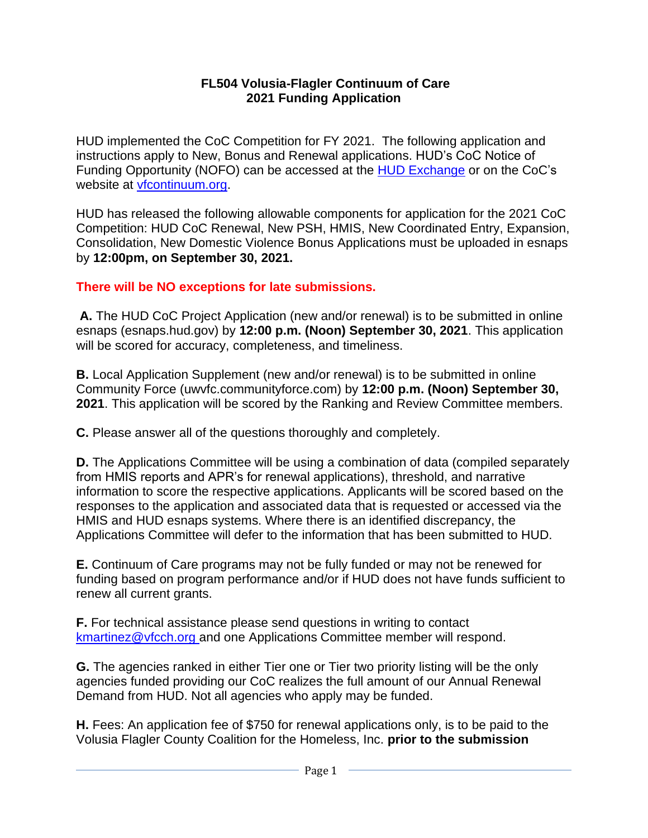### **FL504 Volusia-Flagler Continuum of Care 2021 Funding Application**

HUD implemented the CoC Competition for FY 2021. The following application and instructions apply to New, Bonus and Renewal applications. HUD's CoC Notice of Funding Opportunity (NOFO) can be accessed at the [HUD Exchange](https://www.hudexchange.info/) or on the CoC's website at [vfcontinuum.org.](http://www.vfcontinuum.org/)

HUD has released the following allowable components for application for the 2021 CoC Competition: HUD CoC Renewal, New PSH, HMIS, New Coordinated Entry, Expansion, Consolidation, New Domestic Violence Bonus Applications must be uploaded in esnaps by **12:00pm, on September 30, 2021.**

## **There will be NO exceptions for late submissions.**

**A.** The HUD CoC Project Application (new and/or renewal) is to be submitted in online esnaps (esnaps.hud.gov) by **12:00 p.m. (Noon) September 30, 2021**. This application will be scored for accuracy, completeness, and timeliness.

**B.** Local Application Supplement (new and/or renewal) is to be submitted in online Community Force (uwvfc.communityforce.com) by **12:00 p.m. (Noon) September 30, 2021**. This application will be scored by the Ranking and Review Committee members.

**C.** Please answer all of the questions thoroughly and completely.

**D.** The Applications Committee will be using a combination of data (compiled separately from HMIS reports and APR's for renewal applications), threshold, and narrative information to score the respective applications. Applicants will be scored based on the responses to the application and associated data that is requested or accessed via the HMIS and HUD esnaps systems. Where there is an identified discrepancy, the Applications Committee will defer to the information that has been submitted to HUD.

**E.** Continuum of Care programs may not be fully funded or may not be renewed for funding based on program performance and/or if HUD does not have funds sufficient to renew all current grants.

**F.** For technical assistance please send questions in writing to contact [kmartinez@vfcch.org](mailto:kmartinez@vfcch.org) and one Applications Committee member will respond.

**G.** The agencies ranked in either Tier one or Tier two priority listing will be the only agencies funded providing our CoC realizes the full amount of our Annual Renewal Demand from HUD. Not all agencies who apply may be funded.

**H.** Fees: An application fee of \$750 for renewal applications only, is to be paid to the Volusia Flagler County Coalition for the Homeless, Inc. **prior to the submission**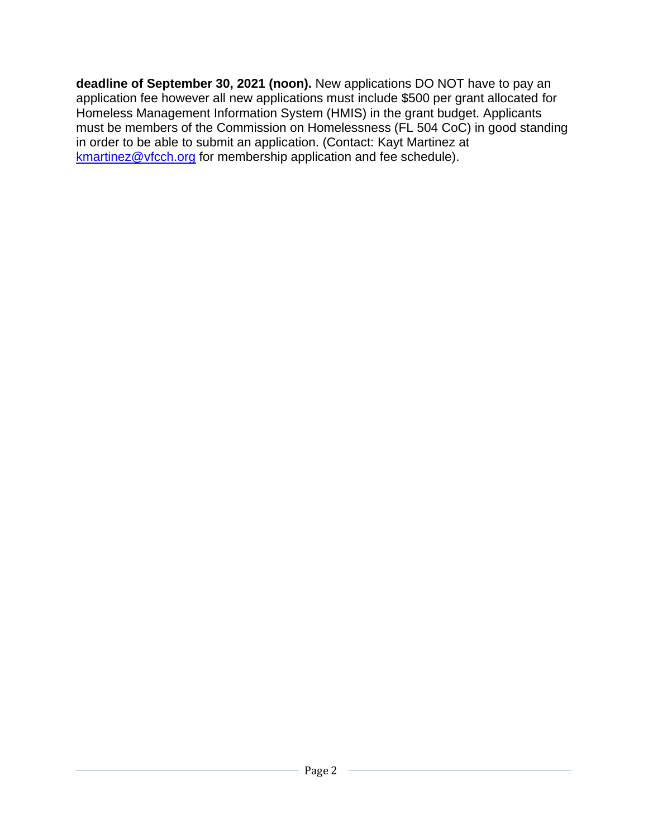**deadline of September 30, 2021 (noon).** New applications DO NOT have to pay an application fee however all new applications must include \$500 per grant allocated for Homeless Management Information System (HMIS) in the grant budget. Applicants must be members of the Commission on Homelessness (FL 504 CoC) in good standing in order to be able to submit an application. (Contact: Kayt Martinez at [kmartinez@vfcch.org](mailto:kmartinez@vfcch.org) for membership application and fee schedule).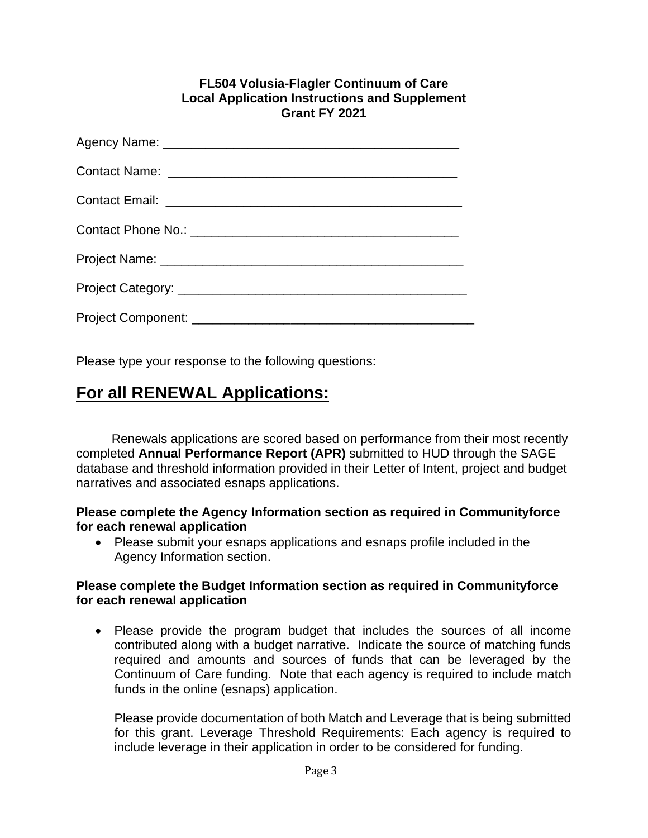#### **FL504 Volusia-Flagler Continuum of Care Local Application Instructions and Supplement Grant FY 2021**

Please type your response to the following questions:

# **For all RENEWAL Applications:**

 Renewals applications are scored based on performance from their most recently completed **Annual Performance Report (APR)** submitted to HUD through the SAGE database and threshold information provided in their Letter of Intent, project and budget narratives and associated esnaps applications.

### **Please complete the Agency Information section as required in Communityforce for each renewal application**

• Please submit your esnaps applications and esnaps profile included in the Agency Information section.

### **Please complete the Budget Information section as required in Communityforce for each renewal application**

• Please provide the program budget that includes the sources of all income contributed along with a budget narrative. Indicate the source of matching funds required and amounts and sources of funds that can be leveraged by the Continuum of Care funding. Note that each agency is required to include match funds in the online (esnaps) application.

Please provide documentation of both Match and Leverage that is being submitted for this grant. Leverage Threshold Requirements: Each agency is required to include leverage in their application in order to be considered for funding.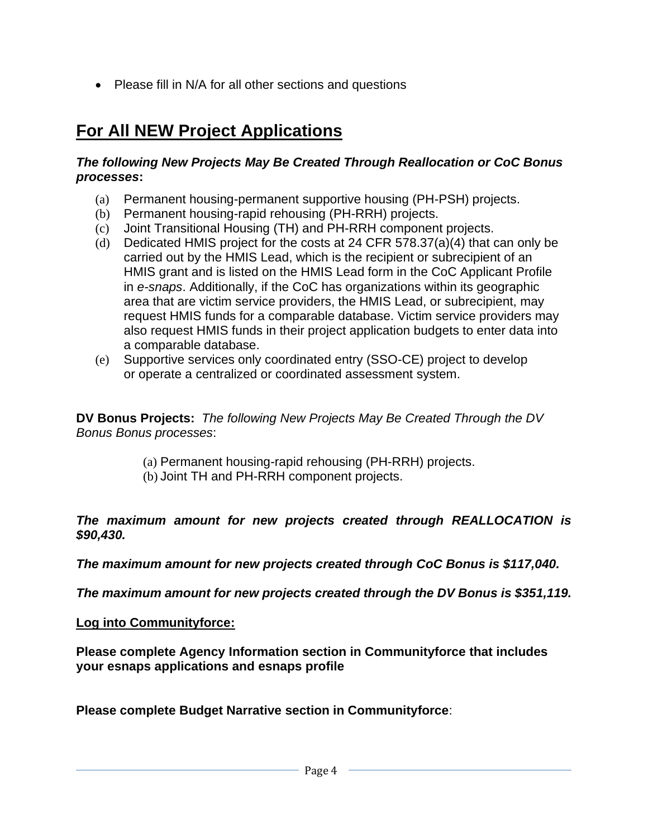• Please fill in N/A for all other sections and questions

# **For All NEW Project Applications**

### *The following New Projects May Be Created Through Reallocation or CoC Bonus processes***:**

- (a) Permanent housing-permanent supportive housing (PH-PSH) projects.
- (b) Permanent housing-rapid rehousing (PH-RRH) projects.
- (c) Joint Transitional Housing (TH) and PH-RRH component projects.
- (d) Dedicated HMIS project for the costs at 24 CFR 578.37(a)(4) that can only be carried out by the HMIS Lead, which is the recipient or subrecipient of an HMIS grant and is listed on the HMIS Lead form in the CoC Applicant Profile in *e-snaps*. Additionally, if the CoC has organizations within its geographic area that are victim service providers, the HMIS Lead, or subrecipient, may request HMIS funds for a comparable database. Victim service providers may also request HMIS funds in their project application budgets to enter data into a comparable database.
- (e) Supportive services only coordinated entry (SSO-CE) project to develop or operate a centralized or coordinated assessment system.

**DV Bonus Projects:** *The following New Projects May Be Created Through the DV Bonus Bonus processes*:

- (a) Permanent housing-rapid rehousing (PH-RRH) projects.
- (b) Joint TH and PH-RRH component projects.

*The maximum amount for new projects created through REALLOCATION is \$90,430.*

*The maximum amount for new projects created through CoC Bonus is \$117,040.*

*The maximum amount for new projects created through the DV Bonus is \$351,119.*

### **Log into Communityforce:**

**Please complete Agency Information section in Communityforce that includes your esnaps applications and esnaps profile**

**Please complete Budget Narrative section in Communityforce**: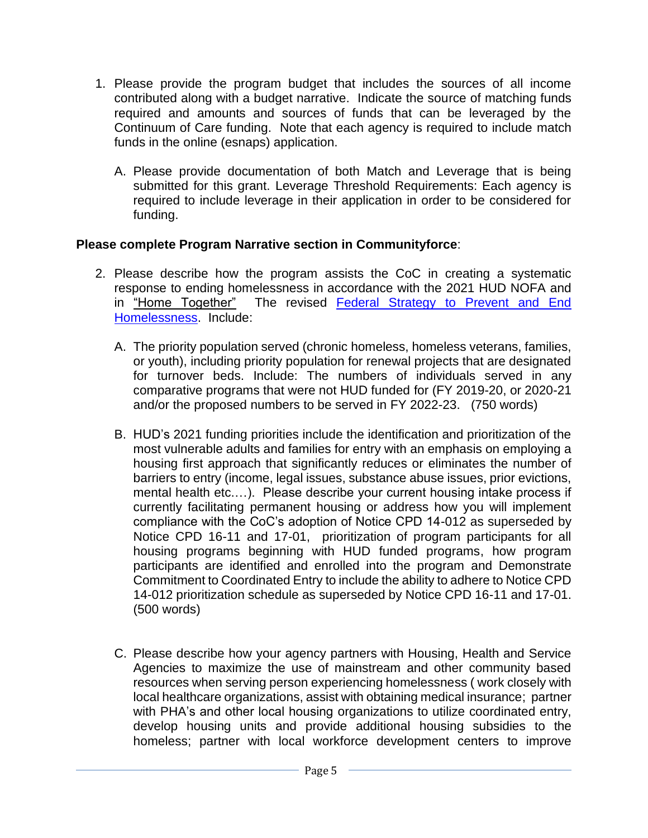- 1. Please provide the program budget that includes the sources of all income contributed along with a budget narrative. Indicate the source of matching funds required and amounts and sources of funds that can be leveraged by the Continuum of Care funding. Note that each agency is required to include match funds in the online (esnaps) application.
	- A. Please provide documentation of both Match and Leverage that is being submitted for this grant. Leverage Threshold Requirements: Each agency is required to include leverage in their application in order to be considered for funding.

# **Please complete Program Narrative section in Communityforce**:

- 2. Please describe how the program assists the CoC in creating a systematic response to ending homelessness in accordance with the 2021 HUD NOFA and in "Home Together" The revised [Federal Strategy to Prevent and End](https://www.usich.gov/resources/uploads/asset_library/Home-Together-Federal-Strategic-Plan-to-Prevent-and-End-Homelessness.pdf)  [Homelessness.](https://www.usich.gov/resources/uploads/asset_library/Home-Together-Federal-Strategic-Plan-to-Prevent-and-End-Homelessness.pdf) Include:
	- A. The priority population served (chronic homeless, homeless veterans, families, or youth), including priority population for renewal projects that are designated for turnover beds. Include: The numbers of individuals served in any comparative programs that were not HUD funded for (FY 2019-20, or 2020-21 and/or the proposed numbers to be served in FY 2022-23. (750 words)
	- B. HUD's 2021 funding priorities include the identification and prioritization of the most vulnerable adults and families for entry with an emphasis on employing a housing first approach that significantly reduces or eliminates the number of barriers to entry (income, legal issues, substance abuse issues, prior evictions, mental health etc....). Please describe your current housing intake process if currently facilitating permanent housing or address how you will implement compliance with the CoC's adoption of Notice CPD 14-012 as superseded by Notice CPD 16-11 and 17-01, prioritization of program participants for all housing programs beginning with HUD funded programs, how program participants are identified and enrolled into the program and Demonstrate Commitment to Coordinated Entry to include the ability to adhere to Notice CPD 14-012 prioritization schedule as superseded by Notice CPD 16-11 and 17-01. (500 words)
	- C. Please describe how your agency partners with Housing, Health and Service Agencies to maximize the use of mainstream and other community based resources when serving person experiencing homelessness ( work closely with local healthcare organizations, assist with obtaining medical insurance; partner with PHA's and other local housing organizations to utilize coordinated entry, develop housing units and provide additional housing subsidies to the homeless; partner with local workforce development centers to improve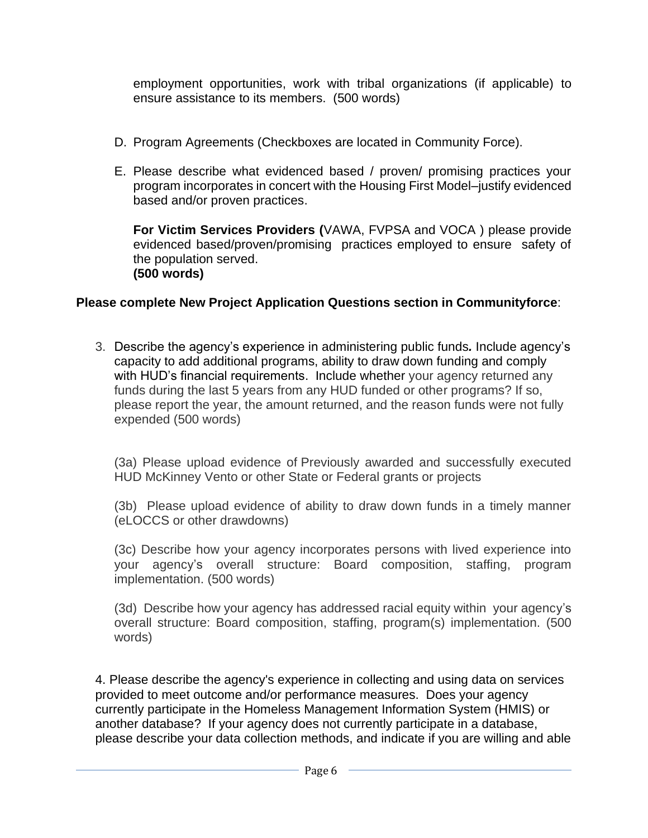employment opportunities, work with tribal organizations (if applicable) to ensure assistance to its members. (500 words)

- D. Program Agreements (Checkboxes are located in Community Force).
- E. Please describe what evidenced based / proven/ promising practices your program incorporates in concert with the Housing First Model–justify evidenced based and/or proven practices.

**For Victim Services Providers (**VAWA, FVPSA and VOCA ) please provide evidenced based/proven/promising practices employed to ensure safety of the population served. **(500 words)** 

# **Please complete New Project Application Questions section in Communityforce**:

3. Describe the agency's experience in administering public funds*.* Include agency's capacity to add additional programs, ability to draw down funding and comply with HUD's financial requirements. Include whether your agency returned any funds during the last 5 years from any HUD funded or other programs? If so, please report the year, the amount returned, and the reason funds were not fully expended (500 words)

(3a) Please upload evidence of Previously awarded and successfully executed HUD McKinney Vento or other State or Federal grants or projects

(3b) Please upload evidence of ability to draw down funds in a timely manner (eLOCCS or other drawdowns)

(3c) Describe how your agency incorporates persons with lived experience into your agency's overall structure: Board composition, staffing, program implementation. (500 words)

(3d) Describe how your agency has addressed racial equity within your agency's overall structure: Board composition, staffing, program(s) implementation. (500 words)

4. Please describe the agency's experience in collecting and using data on services provided to meet outcome and/or performance measures. Does your agency currently participate in the Homeless Management Information System (HMIS) or another database? If your agency does not currently participate in a database, please describe your data collection methods, and indicate if you are willing and able